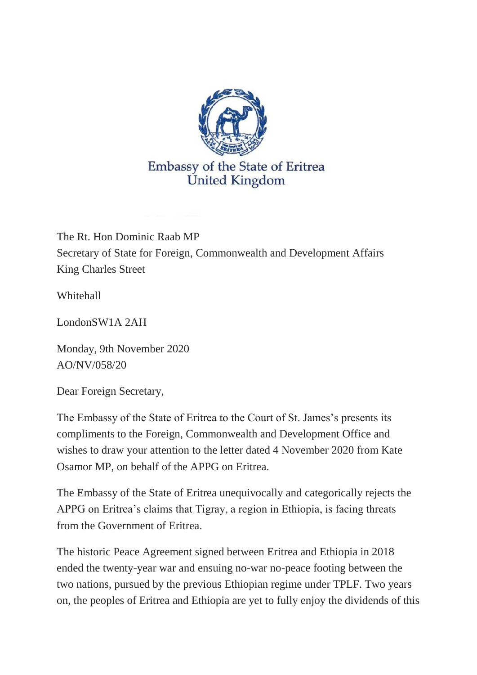

The Rt. Hon Dominic Raab MP Secretary of State for Foreign, Commonwealth and Development Affairs King Charles Street

Whitehall

LondonSW1A 2AH

Monday, 9th November 2020 AO/NV/058/20

Dear Foreign Secretary,

The Embassy of the State of Eritrea to the Court of St. James's presents its compliments to the Foreign, Commonwealth and Development Office and wishes to draw your attention to the letter dated 4 November 2020 from Kate Osamor MP, on behalf of the APPG on Eritrea.

The Embassy of the State of Eritrea unequivocally and categorically rejects the APPG on Eritrea's claims that Tigray, a region in Ethiopia, is facing threats from the Government of Eritrea.

The historic Peace Agreement signed between Eritrea and Ethiopia in 2018 ended the twenty-year war and ensuing no-war no-peace footing between the two nations, pursued by the previous Ethiopian regime under TPLF. Two years on, the peoples of Eritrea and Ethiopia are yet to fully enjoy the dividends of this